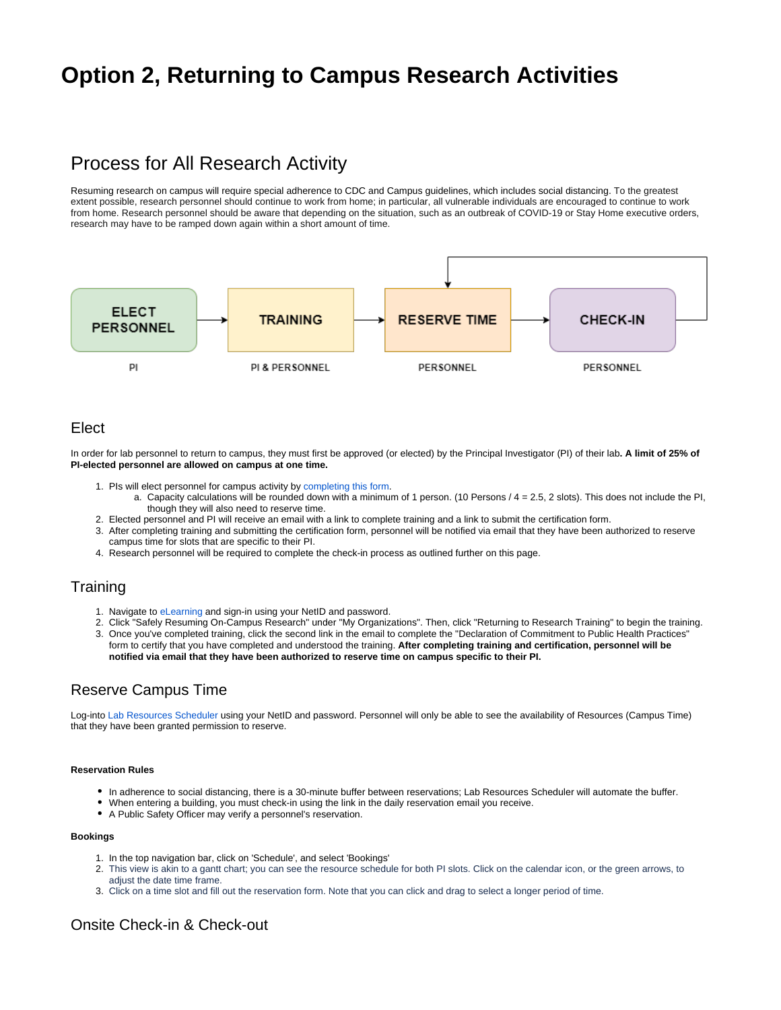# **Option 2, Returning to Campus Research Activities**

# Process for All Research Activity

Resuming research on campus will require special adherence to CDC and Campus guidelines, which includes social distancing. To the greatest extent possible, research personnel should continue to work from home; in particular, all vulnerable individuals are encouraged to continue to work from home. Research personnel should be aware that depending on the situation, such as an outbreak of COVID-19 or Stay Home executive orders, research may have to be ramped down again within a short amount of time.



# Elect

In order for lab personnel to return to campus, they must first be approved (or elected) by the Principal Investigator (PI) of their lab**. A limit of 25% of PI-elected personnel are allowed on campus at one time.** 

- 1. PIs will elect personnel for campus activity by [completing this form](https://redcap.utdallas.edu/surveys/?s=FHWNJC7HLE).
- a. Capacity calculations will be rounded down with a minimum of 1 person. (10 Persons / 4 = 2.5, 2 slots). This does not include the PI, though they will also need to reserve time.
- 2. Elected personnel and PI will receive an email with a link to complete training and a link to submit the certification form.
- 3. After completing training and submitting the certification form, personnel will be notified via email that they have been authorized to reserve campus time for slots that are specific to their PI.
- 4. Research personnel will be required to complete the check-in process as outlined further on this page.

# **Training**

- 1. Navigate to [eLearning](https://elearning.utdallas.edu/) and sign-in using your NetID and password.
- 2. Click "Safely Resuming On-Campus Research" under "My Organizations". Then, click "Returning to Research Training" to begin the training. 3. Once you've completed training, click the second link in the email to complete the "Declaration of Commitment to Public Health Practices" form to certify that you have completed and understood the training. **After completing training and certification, personnel will be notified via email that they have been authorized to reserve time on campus specific to their PI.**

# Reserve Campus Time

Log-into [Lab Resources Scheduler](https://labresources.utdallas.edu) using your NetID and password. Personnel will only be able to see the availability of Resources (Campus Time) that they have been granted permission to reserve.

## **Reservation Rules**

- In adherence to social distancing, there is a 30-minute buffer between reservations; Lab Resources Scheduler will automate the buffer.
- When entering a building, you must check-in using the link in the daily reservation email you receive.
- A Public Safety Officer may verify a personnel's reservation.

## **Bookings**

- 1. In the top navigation bar, click on 'Schedule', and select 'Bookings'
- 2. This view is akin to a gantt chart; you can see the resource schedule for both PI slots. Click on the calendar icon, or the green arrows, to adiust the date time frame.
- 3. Click on a time slot and fill out the reservation form. Note that you can click and drag to select a longer period of time.

# Onsite Check-in & Check-out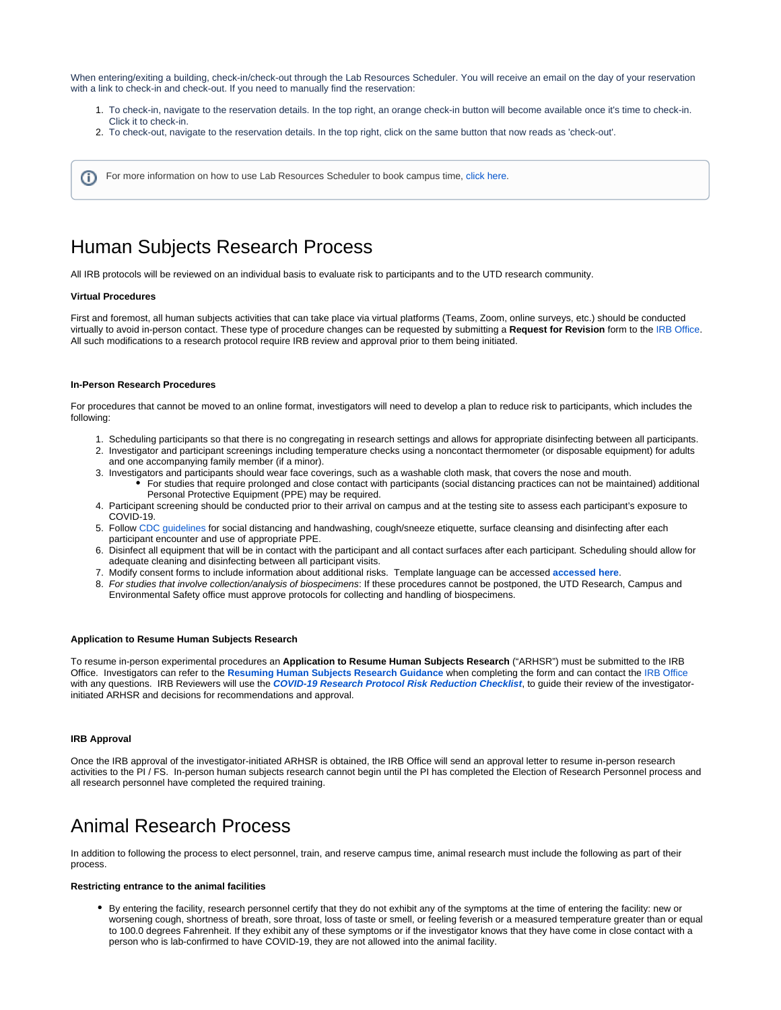When entering/exiting a building, check-in/check-out through the Lab Resources Scheduler. You will receive an email on the day of your reservation with a link to check-in and check-out. If you need to manually find the reservation:

- 1. To check-in, navigate to the reservation details. In the top right, an orange check-in button will become available once it's time to check-in. Click it to check-in.
- 2. To check-out, navigate to the reservation details. In the top right, click on the same button that now reads as 'check-out'.

For more information on how to use Lab Resources Scheduler to book campus time, [click here](https://wiki.utdallas.edu/display/HOME/How+to+Reserve+Campus+Time).

# Human Subjects Research Process

All IRB protocols will be reviewed on an individual basis to evaluate risk to participants and to the UTD research community.

#### **Virtual Procedures**

G)

First and foremost, all human subjects activities that can take place via virtual platforms (Teams, Zoom, online surveys, etc.) should be conducted virtually to avoid in-person contact. These type of procedure changes can be requested by submitting a **Request for Revision** form to the [IRB Office.](mailto:irb@utdallas.edu) All such modifications to a research protocol require IRB review and approval prior to them being initiated.

### **In-Person Research Procedures**

For procedures that cannot be moved to an online format, investigators will need to develop a plan to reduce risk to participants, which includes the following:

- 1. Scheduling participants so that there is no congregating in research settings and allows for appropriate disinfecting between all participants.
- 2. Investigator and participant screenings including temperature checks using a noncontact thermometer (or disposable equipment) for adults and one accompanying family member (if a minor).
- 3. Investigators and participants should wear face coverings, such as a washable cloth mask, that covers the nose and mouth. For studies that require prolonged and close contact with participants (social distancing practices can not be maintained) additional Personal Protective Equipment (PPE) may be required.
- 4. Participant screening should be conducted prior to their arrival on campus and at the testing site to assess each participant's exposure to COVID-19.
- 5. Follow [CDC guidelines](https://www.cdc.gov/coronavirus/2019-ncov/prevent-getting-sick/prevention.html?CDC_AA_refVal=https%3A%2F%2Fwww.cdc.gov%2Fcoronavirus%2F2019-ncov%2Fprepare%2Fprevention.html) for social distancing and handwashing, cough/sneeze etiquette, surface cleansing and disinfecting after each participant encounter and use of appropriate PPE.
- 6. Disinfect all equipment that will be in contact with the participant and all contact surfaces after each participant. Scheduling should allow for adequate cleaning and disinfecting between all participant visits.
- 7. Modify consent forms to include information about additional risks. Template language can be accessed **[accessed here](https://utdallas.app.box.com/s/2dratk7i0vytyya7vd535bl0jtk3xpmh)**.
- 8. For studies that involve collection/analysis of biospecimens: If these procedures cannot be postponed, the UTD Research, Campus and Environmental Safety office must approve protocols for collecting and handling of biospecimens.

## **Application to Resume Human Subjects Research**

To resume in-person experimental procedures an **Application to Resume Human Subjects Research** ("ARHSR") must be submitted to the IRB Office. Investigators can refer to the **[Resuming Human Subjects Research Guidance](https://utdallas.app.box.com/s/jjk1clh9ke4fc47pafst4hha5rf0zwe7)** when completing the form and can contact the [IRB Office](mailto:irb@utdallas.edu) with any questions. IRB Reviewers will use the **[COVID-19 Research Protocol Risk Reduction Checklist](https://utdallas.app.box.com/s/3hf74v9zwn2y4llbz3sn377j1azsizv0)**, to guide their review of the investigatorinitiated ARHSR and decisions for recommendations and approval.

### **IRB Approval**

Once the IRB approval of the investigator-initiated ARHSR is obtained, the IRB Office will send an approval letter to resume in-person research activities to the PI / FS. In-person human subjects research cannot begin until the PI has completed the Election of Research Personnel process and all research personnel have completed the required training.

# Animal Research Process

In addition to following the process to elect personnel, train, and reserve campus time, animal research must include the following as part of their process.

#### **Restricting entrance to the animal facilities**

By entering the facility, research personnel certify that they do not exhibit any of the symptoms at the time of entering the facility: new or worsening cough, shortness of breath, sore throat, loss of taste or smell, or feeling feverish or a measured temperature greater than or equal to 100.0 degrees Fahrenheit. If they exhibit any of these symptoms or if the investigator knows that they have come in close contact with a person who is lab-confirmed to have COVID-19, they are not allowed into the animal facility.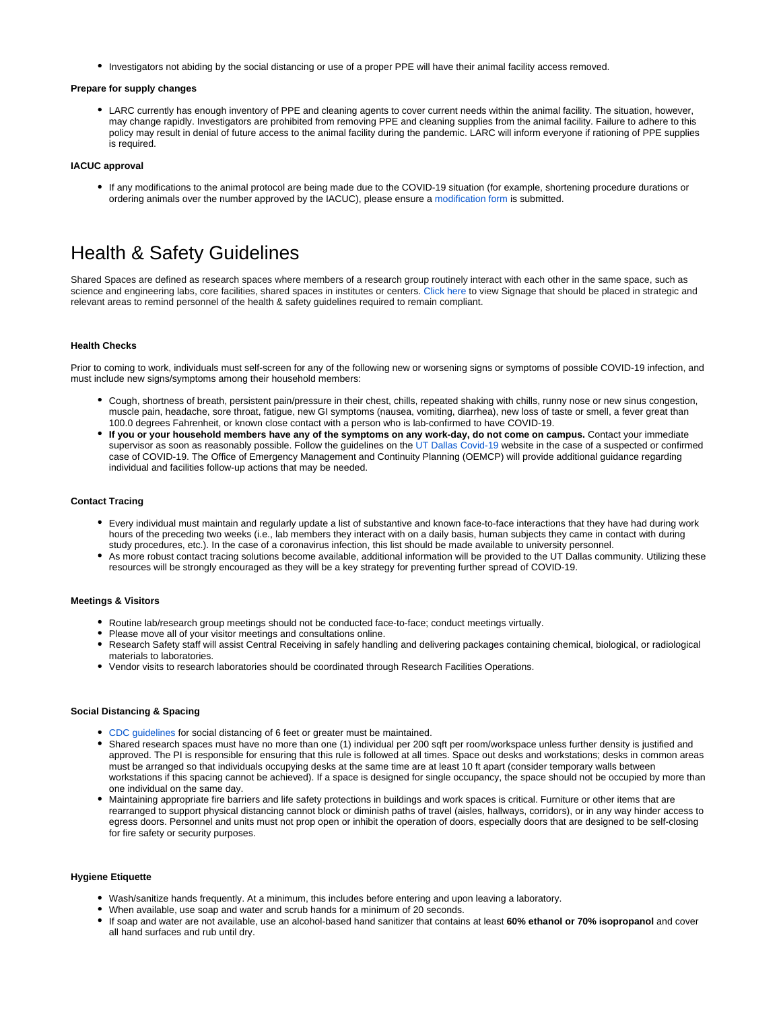Investigators not abiding by the social distancing or use of a proper PPE will have their animal facility access removed.

#### **Prepare for supply changes**

LARC currently has enough inventory of PPE and cleaning agents to cover current needs within the animal facility. The situation, however, may change rapidly. Investigators are prohibited from removing PPE and cleaning supplies from the animal facility. Failure to adhere to this policy may result in denial of future access to the animal facility during the pandemic. LARC will inform everyone if rationing of PPE supplies is required.

### **IACUC approval**

If any modifications to the animal protocol are being made due to the COVID-19 situation (for example, shortening procedure durations or ordering animals over the number approved by the IACUC), please ensure a [modification form](https://research.utdallas.edu/researchers/iacuc/forms) is submitted.

# Health & Safety Guidelines

Shared Spaces are defined as research spaces where members of a research group routinely interact with each other in the same space, such as science and engineering labs, core facilities, shared spaces in institutes or centers. [Click here](https://utdallas.app.box.com/s/4kl13ojf8p25mbhvqav77ufy8e66arss) to view Signage that should be placed in strategic and relevant areas to remind personnel of the health & safety guidelines required to remain compliant.

#### **Health Checks**

Prior to coming to work, individuals must self-screen for any of the following new or worsening signs or symptoms of possible COVID-19 infection, and must include new signs/symptoms among their household members:

- Cough, shortness of breath, persistent pain/pressure in their chest, chills, repeated shaking with chills, runny nose or new sinus congestion, muscle pain, headache, sore throat, fatigue, new GI symptoms (nausea, vomiting, diarrhea), new loss of taste or smell, a fever great than 100.0 degrees Fahrenheit, or known close contact with a person who is lab-confirmed to have COVID-19.
- **If you or your household members have any of the symptoms on any work-day, do not come on campus.** Contact your immediate supervisor as soon as reasonably possible. Follow the guidelines on the [UT Dallas Covid-19](https://utdallas.edu/coronavirus/faq/#faculty) website in the case of a suspected or confirmed case of COVID-19. The Office of Emergency Management and Continuity Planning (OEMCP) will provide additional guidance regarding individual and facilities follow-up actions that may be needed.

### **Contact Tracing**

- Every individual must maintain and regularly update a list of substantive and known face-to-face interactions that they have had during work hours of the preceding two weeks (i.e., lab members they interact with on a daily basis, human subjects they came in contact with during study procedures, etc.). In the case of a coronavirus infection, this list should be made available to university personnel.
- As more robust contact tracing solutions become available, additional information will be provided to the UT Dallas community. Utilizing these resources will be strongly encouraged as they will be a key strategy for preventing further spread of COVID-19.

# **Meetings & Visitors**

- Routine lab/research group meetings should not be conducted face-to-face; conduct meetings virtually.
- Please move all of your visitor meetings and consultations online.
- Research Safety staff will assist Central Receiving in safely handling and delivering packages containing chemical, biological, or radiological materials to laboratories.
- Vendor visits to research laboratories should be coordinated through Research Facilities Operations.

## **Social Distancing & Spacing**

- [CDC guidelines](https://www.cdc.gov/coronavirus/2019-ncov/prevent-getting-sick/prevention.html) for social distancing of 6 feet or greater must be maintained.
- Shared research spaces must have no more than one (1) individual per 200 sqft per room/workspace unless further density is justified and approved. The PI is responsible for ensuring that this rule is followed at all times. Space out desks and workstations; desks in common areas must be arranged so that individuals occupying desks at the same time are at least 10 ft apart (consider temporary walls between workstations if this spacing cannot be achieved). If a space is designed for single occupancy, the space should not be occupied by more than one individual on the same day.
- Maintaining appropriate fire barriers and life safety protections in buildings and work spaces is critical. Furniture or other items that are rearranged to support physical distancing cannot block or diminish paths of travel (aisles, hallways, corridors), or in any way hinder access to egress doors. Personnel and units must not prop open or inhibit the operation of doors, especially doors that are designed to be self-closing for fire safety or security purposes.

### **Hygiene Etiquette**

- Wash/sanitize hands frequently. At a minimum, this includes before entering and upon leaving a laboratory.
- When available, use soap and water and scrub hands for a minimum of 20 seconds.
- If soap and water are not available, use an alcohol-based hand sanitizer that contains at least **60% ethanol or 70% isopropanol** and cover all hand surfaces and rub until dry.